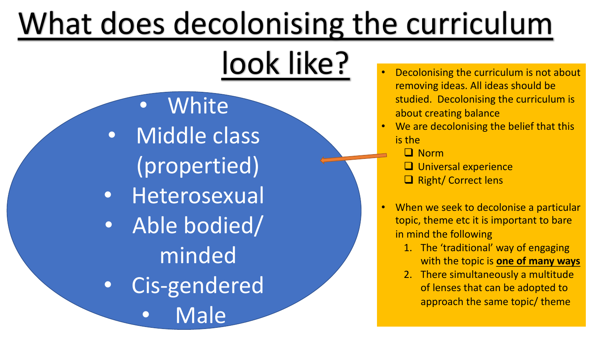# What does decolonising the curriculum

- White • Middle class (propertied)
- Heterosexual
- Able bodied/ minded
- Cis-gendered
	- **Male**
- look like? **Decolonising the curriculum is not about** removing ideas. All ideas should be studied. Decolonising the curriculum is about creating balance
	- **We are decolonising the belief that this** is the
		- $\Box$  Norm
		- $\Box$  Universal experience
		- **Q** Right/ Correct lens
	- When we seek to decolonise a particular topic, theme etc it is important to bare in mind the following
		- 1. The 'traditional' way of engaging with the topic is **one of many ways**
		- 2. There simultaneously a multitude of lenses that can be adopted to approach the same topic/ theme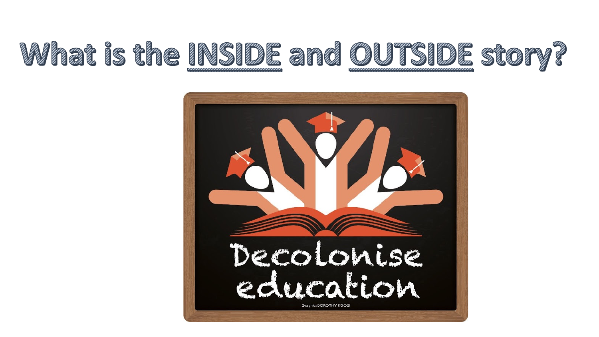

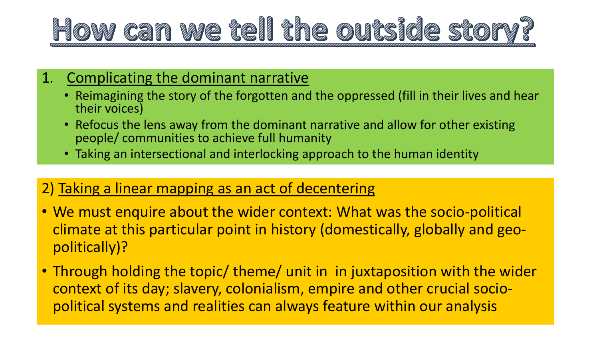

### 1. Complicating the dominant narrative

- Reimagining the story of the forgotten and the oppressed (fill in their lives and hear their voices)
- Refocus the lens away from the dominant narrative and allow for other existing people/ communities to achieve full humanity
- Taking an intersectional and interlocking approach to the human identity

### 2) Taking a linear mapping as an act of decentering

- We must enquire about the wider context: What was the socio-political climate at this particular point in history (domestically, globally and geopolitically)?
- Through holding the topic/ theme/ unit in in juxtaposition with the wider context of its day; slavery, colonialism, empire and other crucial sociopolitical systems and realities can always feature within our analysis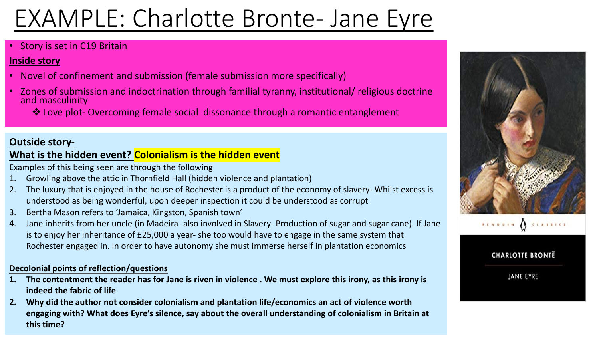## EXAMPLE: Charlotte Bronte- Jane Eyre

### • Story is set in C19 Britain

### **Inside story**

- Novel of confinement and submission (female submission more specifically)
- Zones of submission and indoctrination through familial tyranny, institutional/ religious doctrine and masculinity
	- ❖ Love plot- Overcoming female social dissonance through a romantic entanglement

### **Outside story-**

### **What is the hidden event? Colonialism is the hidden event**

Examples of this being seen are through the following

- 1. Growling above the attic in Thornfield Hall (hidden violence and plantation)
- 2. The luxury that is enjoyed in the house of Rochester is a product of the economy of slavery- Whilst excess is understood as being wonderful, upon deeper inspection it could be understood as corrupt
- 3. Bertha Mason refers to 'Jamaica, Kingston, Spanish town'
- 4. Jane inherits from her uncle (in Madeira- also involved in Slavery- Production of sugar and sugar cane). If Jane is to enjoy her inheritance of £25,000 a year- she too would have to engage in the same system that Rochester engaged in. In order to have autonomy she must immerse herself in plantation economics

### **Decolonial points of reflection/questions**

- **1. The contentment the reader has for Jane is riven in violence . We must explore this irony, as this irony is indeed the fabric of life**
- **2. Why did the author not consider colonialism and plantation life/economics an act of violence worth engaging with? What does Eyre's silence, say about the overall understanding of colonialism in Britain at this time?**